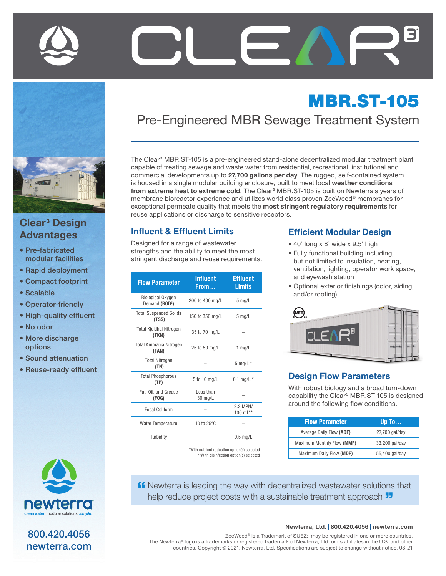

# Clear<sup>3</sup> Design Advantages

- Pre-fabricated modular facilities
- Rapid deployment
- Compact footprint
- Scalable
- Operator-friendly
- High-quality effluent
- No odor
- More discharge options
- Sound attenuation
- Reuse-ready effluent



800.420.4056 newterra.com

# MBR.ST-105 Pre-Engineered MBR Sewage Treatment System

The Clear<sup>3</sup> MBR.ST-105 is a pre-engineered stand-alone decentralized modular treatment plant capable of treating sewage and waste water from residential, recreational, institutional and commercial developments up to 27,700 gallons per day. The rugged, self-contained system is housed in a single modular building enclosure, built to meet local weather conditions from extreme heat to extreme cold. The Clear<sup>3</sup> MBR.ST-105 is built on Newterra's years of membrane bioreactor experience and utilizes world class proven ZeeWeed® membranes for exceptional permeate quality that meets the most stringent regulatory requirements for reuse applications or discharge to sensitive receptors.

#### Influent & Effluent Limits

Designed for a range of wastewater strengths and the ability to meet the most stringent discharge and reuse requirements.

| <b>Flow Parameter</b>                                  | <b>Influent</b><br>From | <b>Effluent</b><br><b>Limits</b> |
|--------------------------------------------------------|-------------------------|----------------------------------|
| <b>Biological Oxygen</b><br>Demand (BOD <sup>5</sup> ) | 200 to 400 mg/L         | $5$ mg/L                         |
| <b>Total Suspended Solids</b><br>(TSS)                 | 150 to 350 mg/L         | $5 \text{ mg/L}$                 |
| <b>Total Kjeldhal Nitrogen</b><br>(TKN)                | 35 to 70 mg/L           |                                  |
| <b>Total Ammania Nitrogen</b><br>(TAN)                 | 25 to 50 mg/L           | 1 $mq/L$                         |
| <b>Total Nitrogen</b><br>(TN)                          |                         | $5$ mg/L $*$                     |
| <b>Total Phosphorous</b><br>(TP)                       | 5 to 10 mg/L            | 0.1 mg/L $*$                     |
| Fat. Oil. and Grease<br>(FOG)                          | Less than<br>30 mg/L    |                                  |
| <b>Fecal Coliform</b>                                  |                         | 2.2 MPN/<br>100 $mL**$           |
| <b>Water Temperature</b>                               | 10 to 25°C              |                                  |
| Turbidity                                              |                         | $0.5$ mg/L                       |

\*With nutrient reduction option(s) selected \*\*With disinfection option(s) selected

#### Efficient Modular Design

- 40' long x 8' wide x 9.5' high
- Fully functional building including, but not limited to insulation, heating, ventilation, lighting, operator work space, and eyewash station
- Optional exterior finishings (color, siding, and/or roofing)



#### Design Flow Parameters

With robust biology and a broad turn-down capability the Clear<sup>3</sup> MBR.ST-105 is designed around the following flow conditions.

| <b>Flow Parameter</b>      | Up To          |
|----------------------------|----------------|
| Average Daily Flow (ADF)   | 27,700 gal/day |
| Maximum Monthly Flow (MMF) | 33,200 gal/day |
| Maximum Daily Flow (MDF)   | 55,400 gal/day |

**ff** Newterra is leading the way with decentralized wastewater solutions that help reduce project costs with a sustainable treatment approach  $\overline{\mathbf{J}}$ 

#### Newterra, Ltd. | 800.420.4056 | newterra.com

ZeeWeed® is a Trademark of SUEZ; may be registered in one or more countries. The Newterra® logo is a trademarks or registered trademark of Newterra, Ltd. or its affiliates in the U.S. and other countries. Copyright © 2021. Newterra, Ltd. Specifications are subject to change without notice. 08-21